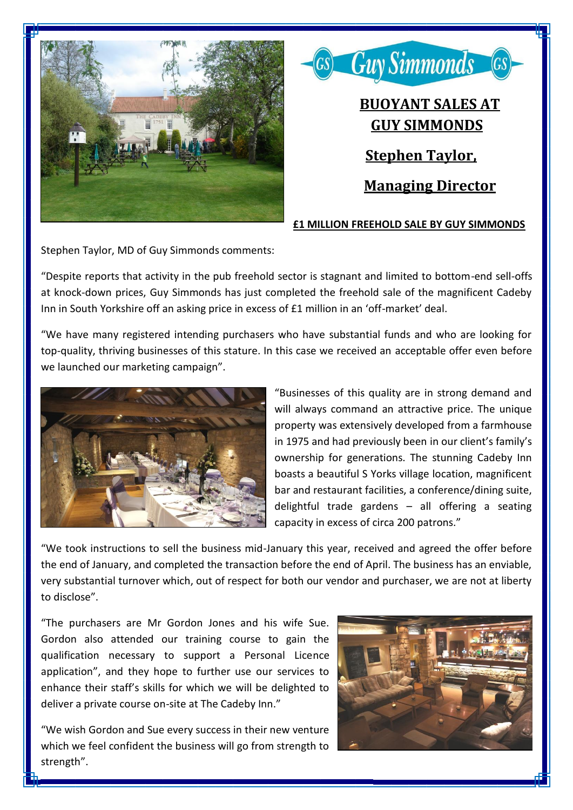



## **£1 MILLION FREEHOLD SALE BY GUY SIMMONDS**

Stephen Taylor, MD of Guy Simmonds comments:

"Despite reports that activity in the pub freehold sector is stagnant and limited to bottom-end sell-offs at knock-down prices, Guy Simmonds has just completed the freehold sale of the magnificent Cadeby Inn in South Yorkshire off an asking price in excess of £1 million in an 'off-market' deal.

"We have many registered intending purchasers who have substantial funds and who are looking for top-quality, thriving businesses of this stature. In this case we received an acceptable offer even before we launched our marketing campaign".



"Businesses of this quality are in strong demand and will always command an attractive price. The unique property was extensively developed from a farmhouse in 1975 and had previously been in our client's family's ownership for generations. The stunning Cadeby Inn boasts a beautiful S Yorks village location, magnificent bar and restaurant facilities, a conference/dining suite, delightful trade gardens – all offering a seating capacity in excess of circa 200 patrons."

"We took instructions to sell the business mid-January this year, received and agreed the offer before the end of January, and completed the transaction before the end of April. The business has an enviable, very substantial turnover which, out of respect for both our vendor and purchaser, we are not at liberty to disclose".

"The purchasers are Mr Gordon Jones and his wife Sue. Gordon also attended our training course to gain the qualification necessary to support a Personal Licence application", and they hope to further use our services to enhance their staff's skills for which we will be delighted to deliver a private course on-site at The Cadeby Inn."

"We wish Gordon and Sue every success in their new venture which we feel confident the business will go from strength to strength".